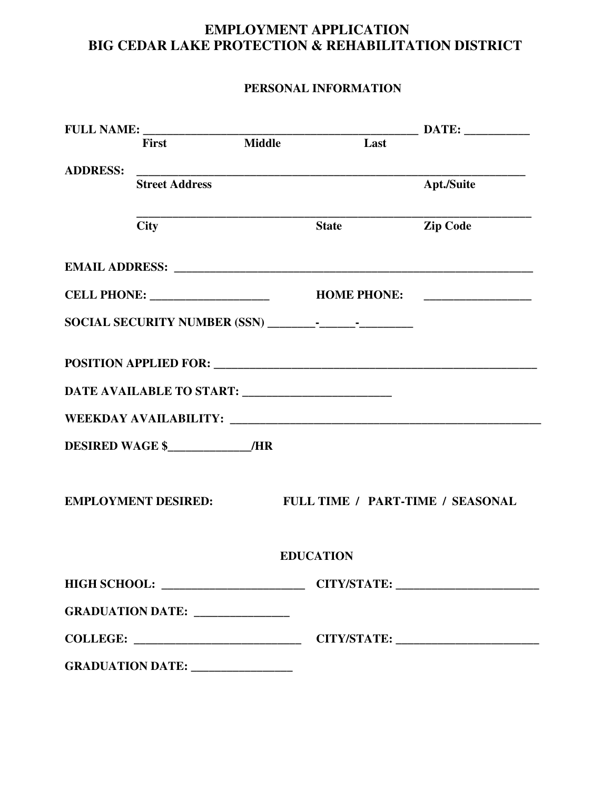## **EMPLOYMENT APPLICATION BIG CEDAR LAKE PROTECTION & REHABILITATION DISTRICT**

## **PERSONAL INFORMATION**

|                 |                                  |               |                                                   | <b>DATE:</b>                     |
|-----------------|----------------------------------|---------------|---------------------------------------------------|----------------------------------|
|                 | <b>First</b>                     | <b>Middle</b> | Last                                              |                                  |
| <b>ADDRESS:</b> | <b>Street Address</b>            |               |                                                   | <b>Apt./Suite</b>                |
|                 | <b>City</b>                      |               | <b>State</b>                                      | <b>Zip Code</b>                  |
|                 |                                  |               |                                                   |                                  |
|                 |                                  |               |                                                   |                                  |
|                 |                                  |               |                                                   |                                  |
|                 |                                  |               |                                                   |                                  |
|                 |                                  |               | DATE AVAILABLE TO START: ________________________ |                                  |
|                 |                                  |               |                                                   |                                  |
|                 | DESIRED WAGE \$ /HR              |               |                                                   |                                  |
|                 | <b>EMPLOYMENT DESIRED:</b>       |               |                                                   | FULL TIME / PART-TIME / SEASONAL |
|                 |                                  |               | <b>EDUCATION</b>                                  |                                  |
|                 |                                  |               |                                                   |                                  |
|                 | GRADUATION DATE: _______________ |               |                                                   |                                  |
|                 |                                  |               |                                                   |                                  |
|                 |                                  |               |                                                   |                                  |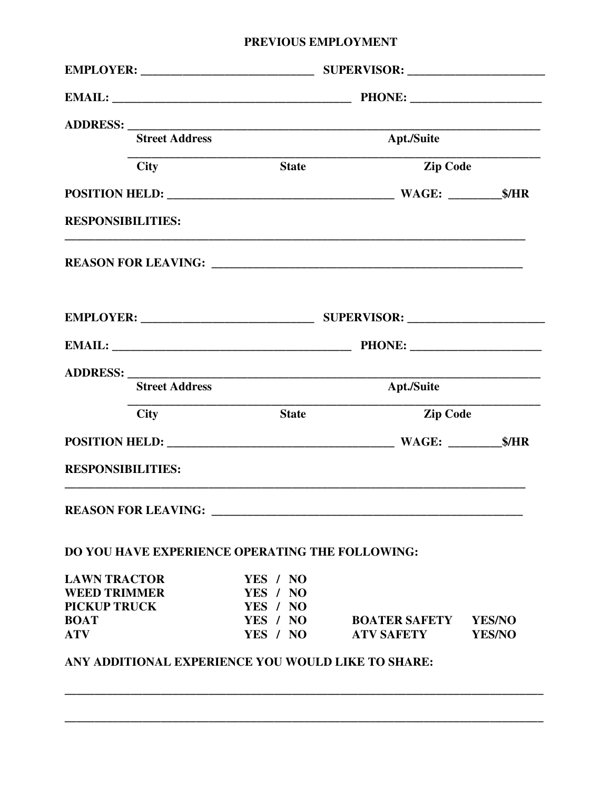## PREVIOUS EMPLOYMENT

| <b>Street Address</b>                              |                      | Apt./Suite           |               |  |  |
|----------------------------------------------------|----------------------|----------------------|---------------|--|--|
| <b>City</b>                                        | <b>State</b>         | Zip Code             |               |  |  |
|                                                    |                      |                      |               |  |  |
| <b>RESPONSIBILITIES:</b>                           |                      |                      |               |  |  |
|                                                    |                      |                      |               |  |  |
|                                                    |                      |                      |               |  |  |
|                                                    |                      |                      |               |  |  |
| <b>Street Address</b>                              |                      | Apt./Suite           |               |  |  |
| <b>City</b>                                        | <b>State</b>         | <b>Zip Code</b>      |               |  |  |
|                                                    |                      |                      |               |  |  |
| <b>RESPONSIBILITIES:</b>                           |                      |                      |               |  |  |
|                                                    |                      |                      |               |  |  |
| DO YOU HAVE EXPERIENCE OPERATING THE FOLLOWING:    |                      |                      |               |  |  |
| <b>LAWN TRACTOR</b>                                | YES / NO             |                      |               |  |  |
| <b>WEED TRIMMER</b>                                | YES / NO             |                      |               |  |  |
| <b>PICKUP TRUCK</b><br><b>BOAT</b>                 | YES / NO<br>YES / NO | <b>BOATER SAFETY</b> | <b>YES/NO</b> |  |  |
| <b>ATV</b>                                         | YES / NO             | <b>ATV SAFETY</b>    | <b>YES/NO</b> |  |  |
| ANY ADDITIONAL EXPERIENCE YOU WOULD LIKE TO SHARE: |                      |                      |               |  |  |
|                                                    |                      |                      |               |  |  |
|                                                    |                      |                      |               |  |  |